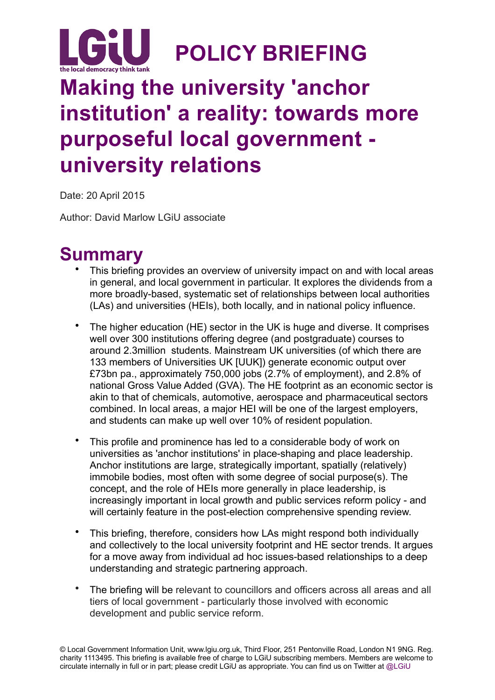

# **Making the university 'anchor institution' a reality: towards more purposeful local government university relations**

Date: 20 April 2015

Author: David Marlow LGiU associate

## **Summary**

- This briefing provides an overview of university impact on and with local areas in general, and local government in particular. It explores the dividends from a more broadly-based, systematic set of relationships between local authorities (LAs) and universities (HEIs), both locally, and in national policy influence.
- The higher education (HE) sector in the UK is huge and diverse. It comprises well over 300 institutions offering degree (and postgraduate) courses to around 2.3million students. Mainstream UK universities (of which there are 133 members of Universities UK [UUK]) generate economic output over £73bn pa., approximately 750,000 jobs (2.7% of employment), and 2.8% of national Gross Value Added (GVA). The HE footprint as an economic sector is akin to that of chemicals, automotive, aerospace and pharmaceutical sectors combined. In local areas, a major HEI will be one of the largest employers, and students can make up well over 10% of resident population.
- This profile and prominence has led to a considerable body of work on universities as 'anchor institutions' in place-shaping and place leadership. Anchor institutions are large, strategically important, spatially (relatively) immobile bodies, most often with some degree of social purpose(s). The concept, and the role of HEIs more generally in place leadership, is increasingly important in local growth and public services reform policy - and will certainly feature in the post-election comprehensive spending review.
- This briefing, therefore, considers how LAs might respond both individually and collectively to the local university footprint and HE sector trends. It argues for a move away from individual ad hoc issues-based relationships to a deep understanding and strategic partnering approach.
- The briefing will be relevant to councillors and officers across all areas and all tiers of local government - particularly those involved with economic development and public service reform.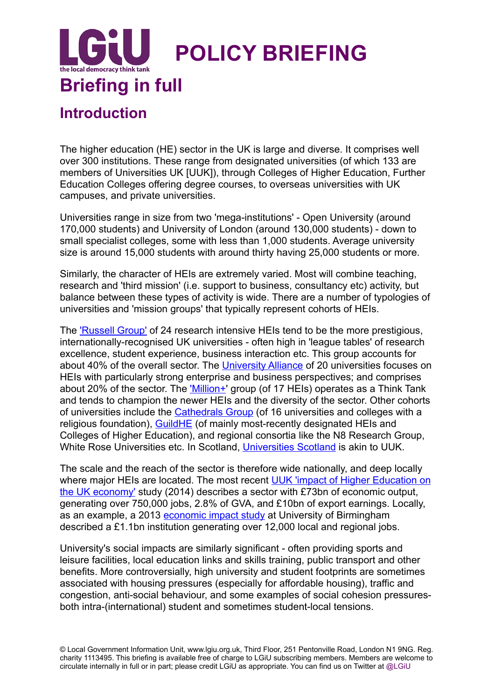

### **Introduction**

The higher education (HE) sector in the UK is large and diverse. It comprises well over 300 institutions. These range from designated universities (of which 133 are members of Universities UK [UUK]), through Colleges of Higher Education, Further Education Colleges offering degree courses, to overseas universities with UK campuses, and private universities.

Universities range in size from two 'mega-institutions' - Open University (around 170,000 students) and University of London (around 130,000 students) - down to small specialist colleges, some with less than 1,000 students. Average university size is around 15,000 students with around thirty having 25,000 students or more.

Similarly, the character of HEIs are extremely varied. Most will combine teaching, research and 'third mission' (i.e. support to business, consultancy etc) activity, but balance between these types of activity is wide. There are a number of typologies of universities and 'mission groups' that typically represent cohorts of HEIs.

The ['Russell Group'](http://www.russellgroup.ac.uk/our-universities/) of 24 research intensive HEIs tend to be the more prestigious, internationally-recognised UK universities - often high in 'league tables' of research excellence, student experience, business interaction etc. This group accounts for about 40% of the overall sector. The [University Alliance](http://www.unialliance.ac.uk/about/) of 20 universities focuses on HEIs with particularly strong enterprise and business perspectives; and comprises about 20% of the sector. The ['Million+](http://www.millionplus.ac.uk/who-we-are/our-affiliates/)' group (of 17 HEIs) operates as a Think Tank and tends to champion the newer HEIs and the diversity of the sector. Other cohorts of universities include the [Cathedrals Group](http://cathedralsgroup.org.uk/) (of 16 universities and colleges with a religious foundation), [GuildHE](http://www.guildhe.ac.uk/about/) (of mainly most-recently designated HEIs and Colleges of Higher Education), and regional consortia like the N8 Research Group, White Rose Universities etc. In Scotland, [Universities Scotland](http://www.universities-scotland.ac.uk/index.php?page=members) is akin to UUK.

The scale and the reach of the sector is therefore wide nationally, and deep locally where major HEIs are located. The most recent UUK 'impact of Higher Education on the UK economy' study (2014) describes a sector with £73bn of economic output, generating over 750,000 jobs, 2.8% of GVA, and £10bn of export earnings. Locally, as an example, a 2013 [economic impact study](http://www.birmingham.ac.uk/Documents/university/economic-impact-report-summary.pdf) at University of Birmingham described a £1.1bn institution generating over 12,000 local and regional jobs.

University's social impacts are similarly significant - often providing sports and leisure facilities, local education links and skills training, public transport and other benefits. More controversially, high university and student footprints are sometimes associated with housing pressures (especially for affordable housing), traffic and congestion, anti-social behaviour, and some examples of social cohesion pressuresboth intra-(international) student and sometimes student-local tensions.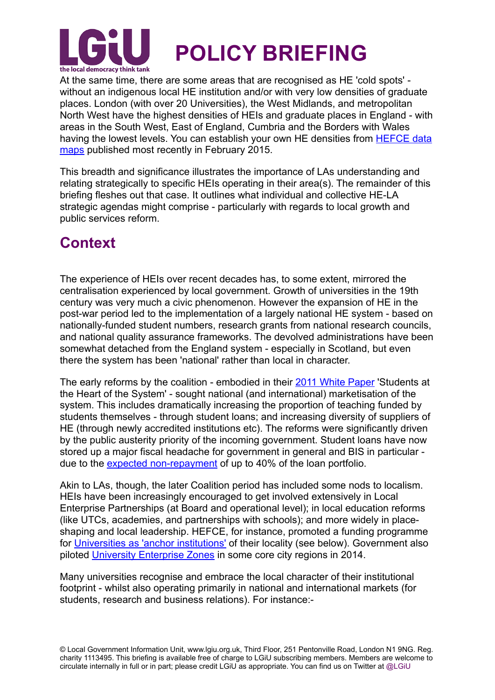

At the same time, there are some areas that are recognised as HE 'cold spots' without an indigenous local HE institution and/or with very low densities of graduate places. London (with over 20 Universities), the West Midlands, and metropolitan North West have the highest densities of HEIs and graduate places in England - with areas in the South West, East of England, Cumbria and the Borders with Wales [having the lowest levels. You can establish your own HE densities from HEFCE data](https://www.hefce.ac.uk/analysis/coldspots/)  maps published most recently in February 2015.

This breadth and significance illustrates the importance of LAs understanding and relating strategically to specific HEIs operating in their area(s). The remainder of this briefing fleshes out that case. It outlines what individual and collective HE-LA strategic agendas might comprise - particularly with regards to local growth and public services reform.

#### **Context**

The experience of HEIs over recent decades has, to some extent, mirrored the centralisation experienced by local government. Growth of universities in the 19th century was very much a civic phenomenon. However the expansion of HE in the post-war period led to the implementation of a largely national HE system - based on nationally-funded student numbers, research grants from national research councils, and national quality assurance frameworks. The devolved administrations have been somewhat detached from the England system - especially in Scotland, but even there the system has been 'national' rather than local in character.

The early reforms by the coalition - embodied in their [2011 White Paper](https://www.gov.uk/government/uploads/system/uploads/attachment_data/file/31384/11-944-higher-education-students-at-heart-of-system.pdf) 'Students at the Heart of the System' - sought national (and international) marketisation of the system. This includes dramatically increasing the proportion of teaching funded by students themselves - through student loans; and increasing diversity of suppliers of HE (through newly accredited institutions etc). The reforms were significantly driven by the public austerity priority of the incoming government. Student loans have now stored up a major fiscal headache for government in general and BIS in particular due to the [expected non-repayment](http://www.parliament.uk/business/committees/committees-a-z/commons-select/public-accounts-committee/news/student-loans-report-publication/) of up to 40% of the loan portfolio.

Akin to LAs, though, the later Coalition period has included some nods to localism. HEIs have been increasingly encouraged to get involved extensively in Local Enterprise Partnerships (at Board and operational level); in local education reforms (like UTCs, academies, and partnerships with schools); and more widely in placeshaping and local leadership. HEFCE, for instance, promoted a funding programme for [Universities as 'anchor institutions'](https://www.hefce.ac.uk/pubs/year/2014/201421/) of their locality (see below). Government also piloted [University Enterprise Zones](https://www.gov.uk/government/policies/investing-in-research-development-and-innovation/supporting-pages/university-enterprise-zones) in some core city regions in 2014.

Many universities recognise and embrace the local character of their institutional footprint - whilst also operating primarily in national and international markets (for students, research and business relations). For instance:-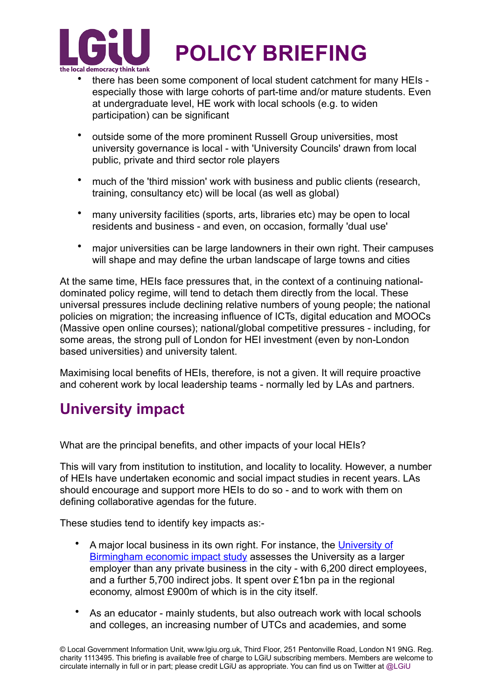

- there has been some component of local student catchment for many HEIs especially those with large cohorts of part-time and/or mature students. Even at undergraduate level, HE work with local schools (e.g. to widen participation) can be significant
- outside some of the more prominent Russell Group universities, most university governance is local - with 'University Councils' drawn from local public, private and third sector role players
- much of the 'third mission' work with business and public clients (research, training, consultancy etc) will be local (as well as global)
- many university facilities (sports, arts, libraries etc) may be open to local residents and business - and even, on occasion, formally 'dual use'
- major universities can be large landowners in their own right. Their campuses will shape and may define the urban landscape of large towns and cities

At the same time, HEIs face pressures that, in the context of a continuing nationaldominated policy regime, will tend to detach them directly from the local. These universal pressures include declining relative numbers of young people; the national policies on migration; the increasing influence of ICTs, digital education and MOOCs (Massive open online courses); national/global competitive pressures - including, for some areas, the strong pull of London for HEI investment (even by non-London based universities) and university talent.

Maximising local benefits of HEIs, therefore, is not a given. It will require proactive and coherent work by local leadership teams - normally led by LAs and partners.

### **University impact**

What are the principal benefits, and other impacts of your local HEIs?

This will vary from institution to institution, and locality to locality. However, a number of HEIs have undertaken economic and social impact studies in recent years. LAs should encourage and support more HEIs to do so - and to work with them on defining collaborative agendas for the future.

These studies tend to identify key impacts as:-

- A major local business in its own right. For instance, the University of Birmingham economic impact study assesses the University as a larger employer than any private business in the city - with 6,200 direct employees, and a further 5,700 indirect jobs. It spent over £1bn pa in the regional economy, almost £900m of which is in the city itself.
- As an educator mainly students, but also outreach work with local schools and colleges, an increasing number of UTCs and academies, and some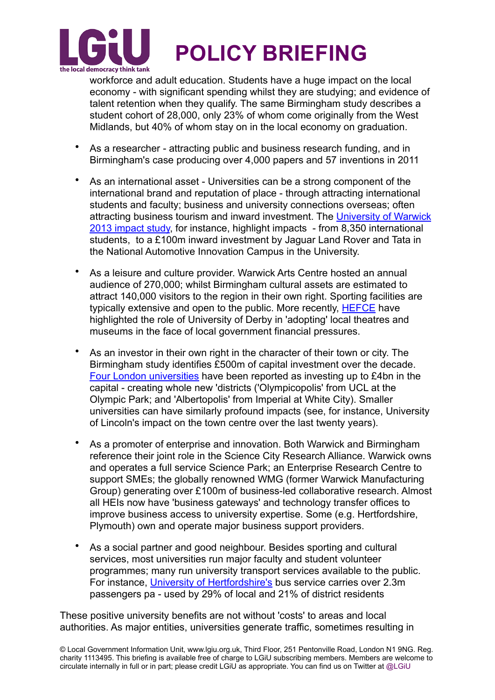

workforce and adult education. Students have a huge impact on the local economy - with significant spending whilst they are studying; and evidence of talent retention when they qualify. The same Birmingham study describes a student cohort of 28,000, only 23% of whom come originally from the West Midlands, but 40% of whom stay on in the local economy on graduation.

- As a researcher attracting public and business research funding, and in Birmingham's case producing over 4,000 papers and 57 inventions in 2011
- As an international asset Universities can be a strong component of the international brand and reputation of place - through attracting international students and faculty; business and university connections overseas; often [attracting business tourism and inward investment. The University of Warwick](http://www2.warwick.ac.uk/about/community/regionalpartnerships/warwick_regional_impact/warwick_universitys_impact_on_the_region.pdf)  2013 impact study, for instance, highlight impacts - from 8,350 international students, to a £100m inward investment by Jaguar Land Rover and Tata in the National Automotive Innovation Campus in the University.
- As a leisure and culture provider. Warwick Arts Centre hosted an annual audience of 270,000; whilst Birmingham cultural assets are estimated to attract 140,000 visitors to the region in their own right. Sporting facilities are typically extensive and open to the public. More recently, [HEFCE](http://blog.hefce.ac.uk/2015/03/16/universities-as-anchor-institutions/) have highlighted the role of University of Derby in 'adopting' local theatres and museums in the face of local government financial pressures.
- As an investor in their own right in the character of their town or city. The Birmingham study identifies £500m of capital investment over the decade. [Four London universities](http://www.pressreader.com/uk/london-evening-standard-west-end-final-a/20150326/281822872295876/TextView) have been reported as investing up to £4bn in the capital - creating whole new 'districts ('Olympicopolis' from UCL at the Olympic Park; and 'Albertopolis' from Imperial at White City). Smaller universities can have similarly profound impacts (see, for instance, University of Lincoln's impact on the town centre over the last twenty years).
- As a promoter of enterprise and innovation. Both Warwick and Birmingham reference their joint role in the Science City Research Alliance. Warwick owns and operates a full service Science Park; an Enterprise Research Centre to support SMEs; the globally renowned WMG (former Warwick Manufacturing Group) generating over £100m of business-led collaborative research. Almost all HEIs now have 'business gateways' and technology transfer offices to improve business access to university expertise. Some (e.g. Hertfordshire, Plymouth) own and operate major business support providers.
- As a social partner and good neighbour. Besides sporting and cultural services, most universities run major faculty and student volunteer programmes; many run university transport services available to the public. For instance, [University of Hertfordshire's](http://www.pacec.co.uk/publications/Economic_and_Social_Impact_of_the_University_of_Hertfordshire_on_Welwyn_Hatfield_.pdf) bus service carries over 2.3m passengers pa - used by 29% of local and 21% of district residents

These positive university benefits are not without 'costs' to areas and local authorities. As major entities, universities generate traffic, sometimes resulting in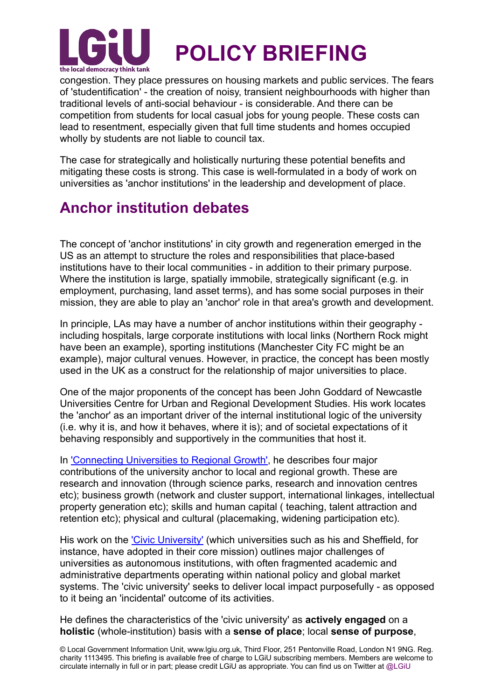

congestion. They place pressures on housing markets and public services. The fears of 'studentification' - the creation of noisy, transient neighbourhoods with higher than traditional levels of anti-social behaviour - is considerable. And there can be competition from students for local casual jobs for young people. These costs can lead to resentment, especially given that full time students and homes occupied wholly by students are not liable to council tax.

The case for strategically and holistically nurturing these potential benefits and mitigating these costs is strong. This case is well-formulated in a body of work on universities as 'anchor institutions' in the leadership and development of place.

### **Anchor institution debates**

The concept of 'anchor institutions' in city growth and regeneration emerged in the US as an attempt to structure the roles and responsibilities that place-based institutions have to their local communities - in addition to their primary purpose. Where the institution is large, spatially immobile, strategically significant (e.g. in employment, purchasing, land asset terms), and has some social purposes in their mission, they are able to play an 'anchor' role in that area's growth and development.

In principle, LAs may have a number of anchor institutions within their geography including hospitals, large corporate institutions with local links (Northern Rock might have been an example), sporting institutions (Manchester City FC might be an example), major cultural venues. However, in practice, the concept has been mostly used in the UK as a construct for the relationship of major universities to place.

One of the major proponents of the concept has been John Goddard of Newcastle Universities Centre for Urban and Regional Development Studies. His work locates the 'anchor' as an important driver of the internal institutional logic of the university (i.e. why it is, and how it behaves, where it is); and of societal expectations of it behaving responsibly and supportively in the communities that host it.

In ['Connecting Universities to Regional Growth'](http://ec.europa.eu/regional_policy/sources/docgener/presenta/universities2011/universities2011_en.pdf), he describes four major contributions of the university anchor to local and regional growth. These are research and innovation (through science parks, research and innovation centres etc); business growth (network and cluster support, international linkages, intellectual property generation etc); skills and human capital ( teaching, talent attraction and retention etc); physical and cultural (placemaking, widening participation etc).

His work on the *Civic University'* (which universities such as his and Sheffield, for instance, have adopted in their core mission) outlines major challenges of universities as autonomous institutions, with often fragmented academic and administrative departments operating within national policy and global market systems. The 'civic university' seeks to deliver local impact purposefully - as opposed to it being an 'incidental' outcome of its activities.

He defines the characteristics of the 'civic university' as **actively engaged** on a **holistic** (whole-institution) basis with a **sense of place**; local **sense of purpose**,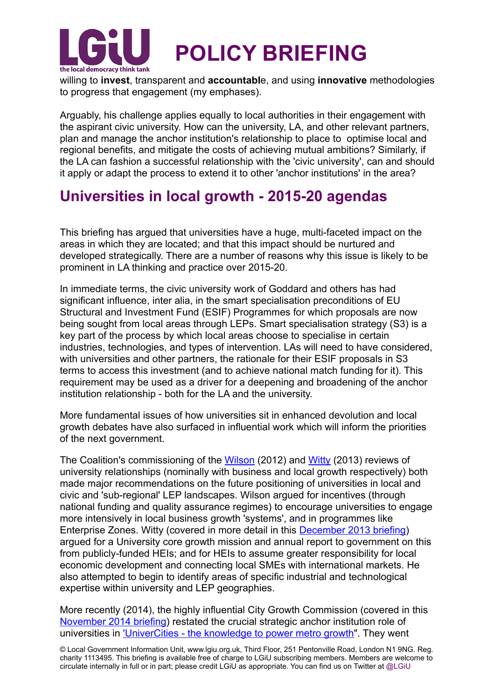

willing to **invest**, transparent and **accountabl**e, and using **innovative** methodologies to progress that engagement (my emphases).

Arguably, his challenge applies equally to local authorities in their engagement with the aspirant civic university. How can the university, LA, and other relevant partners, plan and manage the anchor institution's relationship to place to optimise local and regional benefits, and mitigate the costs of achieving mutual ambitions? Similarly, if the LA can fashion a successful relationship with the 'civic university', can and should it apply or adapt the process to extend it to other 'anchor institutions' in the area?

### **Universities in local growth - 2015-20 agendas**

This briefing has argued that universities have a huge, multi-faceted impact on the areas in which they are located; and that this impact should be nurtured and developed strategically. There are a number of reasons why this issue is likely to be prominent in LA thinking and practice over 2015-20.

In immediate terms, the civic university work of Goddard and others has had significant influence, inter alia, in the smart specialisation preconditions of EU Structural and Investment Fund (ESIF) Programmes for which proposals are now being sought from local areas through LEPs. Smart specialisation strategy (S3) is a key part of the process by which local areas choose to specialise in certain industries, technologies, and types of intervention. LAs will need to have considered, with universities and other partners, the rationale for their ESIF proposals in S3 terms to access this investment (and to achieve national match funding for it). This requirement may be used as a driver for a deepening and broadening of the anchor institution relationship - both for the LA and the university.

More fundamental issues of how universities sit in enhanced devolution and local growth debates have also surfaced in influential work which will inform the priorities of the next government.

The Coalition's commissioning of the [Wilson](https://www.gov.uk/government/uploads/system/uploads/attachment_data/file/32383/12-610-wilson-review-business-university-collaboration.pdf) (2012) and [Witty](https://www.gov.uk/government/uploads/system/uploads/attachment_data/file/249720/bis-13-1241-encouraging-a-british-invention-revolution-andrew-witty-review-R1.pdf) (2013) reviews of university relationships (nominally with business and local growth respectively) both made major recommendations on the future positioning of universities in local and civic and 'sub-regional' LEP landscapes. Wilson argued for incentives (through national funding and quality assurance regimes) to encourage universities to engage more intensively in local business growth 'systems', and in programmes like Enterprise Zones. Witty (covered in more detail in this [December 2013 briefing](http://www.lgiu.org.uk/briefing/local-enterprise-partnerships-rising-to-the-challenge/)) argued for a University core growth mission and annual report to government on this from publicly-funded HEIs; and for HEIs to assume greater responsibility for local economic development and connecting local SMEs with international markets. He also attempted to begin to identify areas of specific industrial and technological expertise within university and LEP geographies.

More recently (2014), the highly influential City Growth Commission (covered in this [November 2014 briefing](http://www.lgiu.org.uk/briefing/unleashing-metro-growth-the-city-growth-commission-and-devolution-to-cities/)) restated the crucial strategic anchor institution role of universities in ['UniverCities - the knowledge to power metro growth"](http://www.citygrowthcommission.com/publication/univercities-the-knowlegde-to-power-uk-metros/). They went

© Local Government Information Unit, www.lgiu.org.uk, Third Floor, 251 Pentonville Road, London N1 9NG. Reg. charity 1113495. This briefing is available free of charge to LGiU subscribing members. Members are welcome to circulate internally in full or in part; please credit LGiU as appropriate. You can find us on Twitter at @LGiU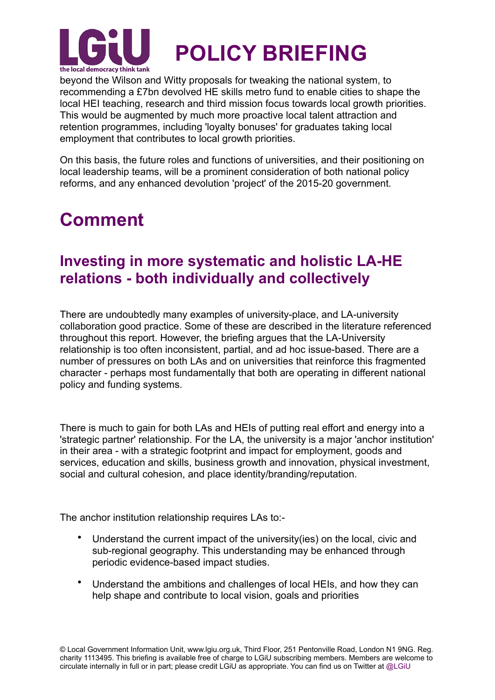

beyond the Wilson and Witty proposals for tweaking the national system, to recommending a £7bn devolved HE skills metro fund to enable cities to shape the local HEI teaching, research and third mission focus towards local growth priorities. This would be augmented by much more proactive local talent attraction and retention programmes, including 'loyalty bonuses' for graduates taking local employment that contributes to local growth priorities.

On this basis, the future roles and functions of universities, and their positioning on local leadership teams, will be a prominent consideration of both national policy reforms, and any enhanced devolution 'project' of the 2015-20 government.

## **Comment**

### **Investing in more systematic and holistic LA-HE relations - both individually and collectively**

There are undoubtedly many examples of university-place, and LA-university collaboration good practice. Some of these are described in the literature referenced throughout this report. However, the briefing argues that the LA-University relationship is too often inconsistent, partial, and ad hoc issue-based. There are a number of pressures on both LAs and on universities that reinforce this fragmented character - perhaps most fundamentally that both are operating in different national policy and funding systems.

There is much to gain for both LAs and HEIs of putting real effort and energy into a 'strategic partner' relationship. For the LA, the university is a major 'anchor institution' in their area - with a strategic footprint and impact for employment, goods and services, education and skills, business growth and innovation, physical investment, social and cultural cohesion, and place identity/branding/reputation.

The anchor institution relationship requires LAs to:-

- Understand the current impact of the university(ies) on the local, civic and sub-regional geography. This understanding may be enhanced through periodic evidence-based impact studies.
- Understand the ambitions and challenges of local HEIs, and how they can help shape and contribute to local vision, goals and priorities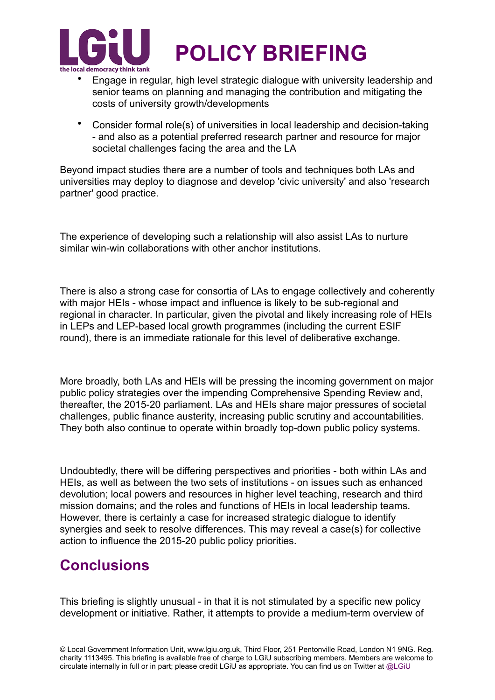

- Engage in regular, high level strategic dialogue with university leadership and senior teams on planning and managing the contribution and mitigating the costs of university growth/developments
- Consider formal role(s) of universities in local leadership and decision-taking - and also as a potential preferred research partner and resource for major societal challenges facing the area and the LA

Beyond impact studies there are a number of tools and techniques both LAs and universities may deploy to diagnose and develop 'civic university' and also 'research partner' good practice.

The experience of developing such a relationship will also assist LAs to nurture similar win-win collaborations with other anchor institutions.

There is also a strong case for consortia of LAs to engage collectively and coherently with major HEIs - whose impact and influence is likely to be sub-regional and regional in character. In particular, given the pivotal and likely increasing role of HEIs in LEPs and LEP-based local growth programmes (including the current ESIF round), there is an immediate rationale for this level of deliberative exchange.

More broadly, both LAs and HEIs will be pressing the incoming government on major public policy strategies over the impending Comprehensive Spending Review and, thereafter, the 2015-20 parliament. LAs and HEIs share major pressures of societal challenges, public finance austerity, increasing public scrutiny and accountabilities. They both also continue to operate within broadly top-down public policy systems.

Undoubtedly, there will be differing perspectives and priorities - both within LAs and HEIs, as well as between the two sets of institutions - on issues such as enhanced devolution; local powers and resources in higher level teaching, research and third mission domains; and the roles and functions of HEIs in local leadership teams. However, there is certainly a case for increased strategic dialogue to identify synergies and seek to resolve differences. This may reveal a case(s) for collective action to influence the 2015-20 public policy priorities.

### **Conclusions**

This briefing is slightly unusual - in that it is not stimulated by a specific new policy development or initiative. Rather, it attempts to provide a medium-term overview of